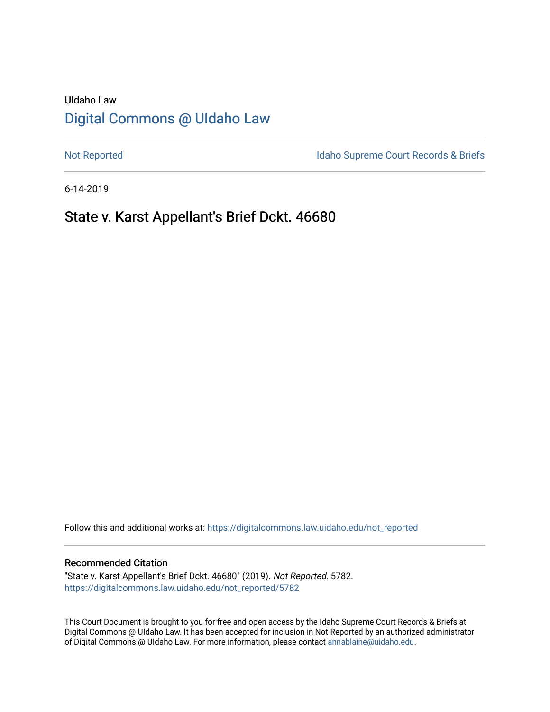# UIdaho Law [Digital Commons @ UIdaho Law](https://digitalcommons.law.uidaho.edu/)

[Not Reported](https://digitalcommons.law.uidaho.edu/not_reported) **Idaho Supreme Court Records & Briefs** 

6-14-2019

# State v. Karst Appellant's Brief Dckt. 46680

Follow this and additional works at: [https://digitalcommons.law.uidaho.edu/not\\_reported](https://digitalcommons.law.uidaho.edu/not_reported?utm_source=digitalcommons.law.uidaho.edu%2Fnot_reported%2F5782&utm_medium=PDF&utm_campaign=PDFCoverPages) 

#### Recommended Citation

"State v. Karst Appellant's Brief Dckt. 46680" (2019). Not Reported. 5782. [https://digitalcommons.law.uidaho.edu/not\\_reported/5782](https://digitalcommons.law.uidaho.edu/not_reported/5782?utm_source=digitalcommons.law.uidaho.edu%2Fnot_reported%2F5782&utm_medium=PDF&utm_campaign=PDFCoverPages)

This Court Document is brought to you for free and open access by the Idaho Supreme Court Records & Briefs at Digital Commons @ UIdaho Law. It has been accepted for inclusion in Not Reported by an authorized administrator of Digital Commons @ UIdaho Law. For more information, please contact [annablaine@uidaho.edu](mailto:annablaine@uidaho.edu).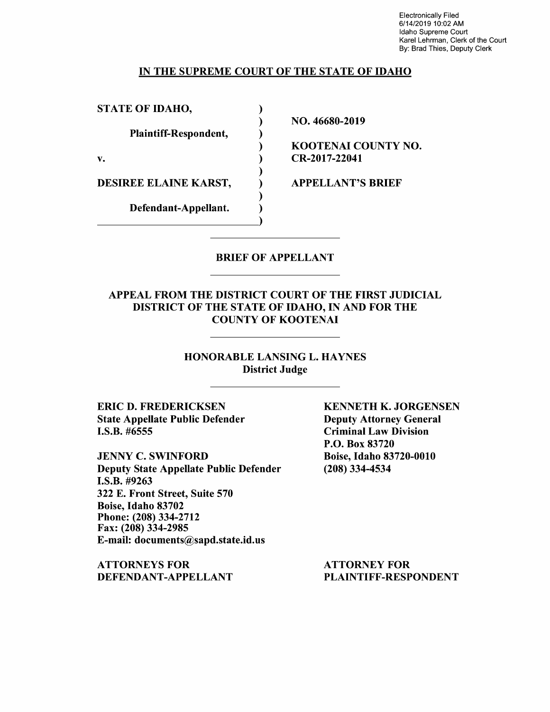Electronically Filed 6/14/2019 10:02 AM Idaho Supreme Court Karel Lehrman, Clerk of the Court By: Brad Thies, Deputy Clerk

### IN THE SUPREME COURT OF THE STATE OF IDAHO

) ) ) ) ) ) ) ) )

STATE OF IDAHO,

Plaintiff-Respondent,

v.

DESIREE ELAINE KARST,

Defendant-Appellant. Defendant-Appellant. NO. 46680-2019

KOOTENAI COUNTY NO. CR-2017-22041

APPELLANT'S BRIEF

### BRIEF OF APPELLANT

### APPEAL FROM THE DISTRICT COURT OF THE FIRST JUDICIAL DISTRICT OF THE STATE OF IDAHO, IN AND FOR THE COUNTY OF KOOTENAI

HONORABLE LANSING L. HAYNES District Judge

ERIC D. FREDERICKSEN State Appellate Public Defender I.S.B. #6555

JENNY C. SWINFORD Deputy State Appellate Public Defender I.S.B. #9263 322 E. Front Street, Suite 570 Boise, Idaho 83702 Phone: (208) 334-2712 Fax: (208) 334-2985 E-mail: documents@sapd.state.id.us

ATTORNEYS FOR DEFENDANT-APPELLANT KENNETH K. JORGENSEN Deputy Attorney General Criminal Law Division P.O. Box 83720 Boise, Idaho 83720-0010 (208) 334-4534

ATTORNEY FOR PLAINTIFF-RESPONDENT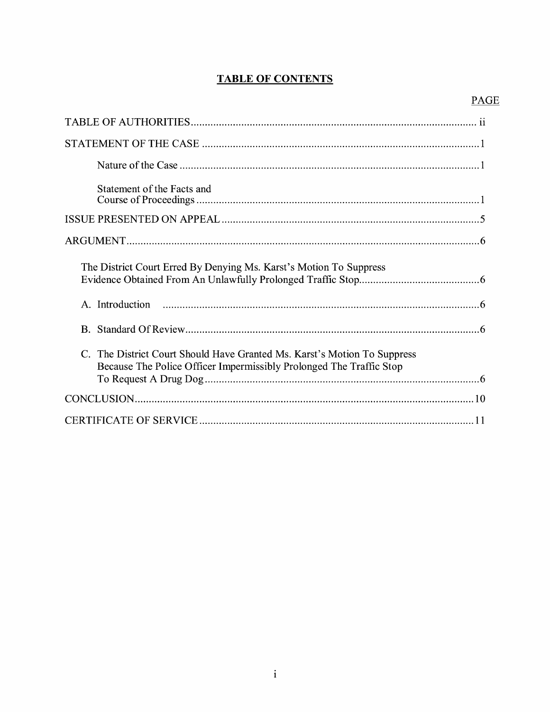# **TABLE OF CONTENTS**

| Statement of the Facts and                                                                                                                      |
|-------------------------------------------------------------------------------------------------------------------------------------------------|
|                                                                                                                                                 |
|                                                                                                                                                 |
| The District Court Erred By Denying Ms. Karst's Motion To Suppress                                                                              |
|                                                                                                                                                 |
|                                                                                                                                                 |
| C. The District Court Should Have Granted Ms. Karst's Motion To Suppress<br>Because The Police Officer Impermissibly Prolonged The Traffic Stop |
|                                                                                                                                                 |
|                                                                                                                                                 |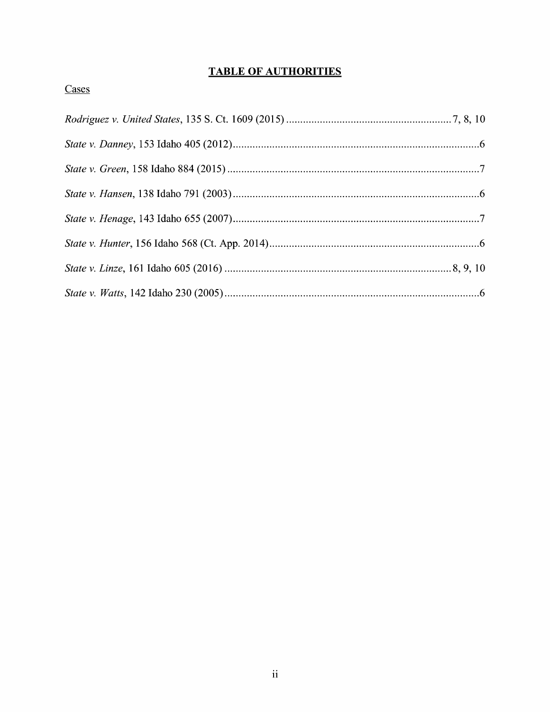# **TABLE OF AUTHORITIES**

# Cases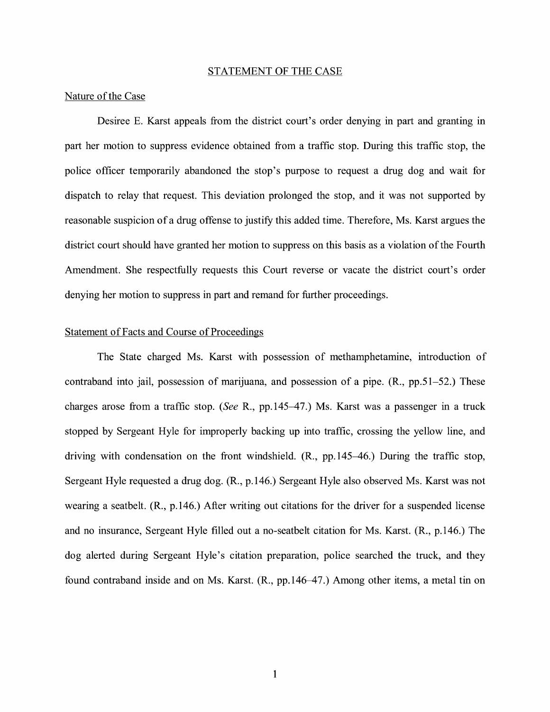#### STATEMENT OF THE CASE

#### Nature of the Case

Desiree E. Karst appeals from the district court's order denying in part and granting in part her motion to suppress evidence obtained from a traffic stop. During this traffic stop, the police officer temporarily abandoned the stop's purpose to request a drug dog and wait for dispatch to relay that request. This deviation prolonged the stop, and it was not supported by reasonable suspicion of a drug offense to justify this added time. Therefore, Ms. Karst argues the district court should have granted her motion to suppress on this basis as a violation of the Fourth Amendment. She respectfully requests this Court reverse or vacate the district court's order denying her motion to suppress in part and remand for further proceedings.

#### Statement of Facts and Course of Proceedings

The State charged Ms. Karst with possession of methamphetamine, introduction of contraband into jail, possession of marijuana, and possession of a pipe. (R., pp.51-52.) These charges arose from a traffic stop. *(See* R., pp.145-47.) Ms. Karst was a passenger in a truck stopped by Sergeant Hyle for improperly backing up into traffic, crossing the yellow line, and driving with condensation on the front windshield. (R., pp.145-46.) During the traffic stop, Sergeant Hyle requested a drug dog. (R., p.146.) Sergeant Hyle also observed Ms. Karst was not wearing a seatbelt. (R., p.146.) After writing out citations for the driver for a suspended license and no insurance, Sergeant Hyle filled out a no-seatbelt citation for Ms. Karst. (R., p.146.) The dog alerted during Sergeant Hyle's citation preparation, police searched the truck, and they found contraband inside and on Ms. Karst. (R., pp.146-47.) Among other items, a metal tin on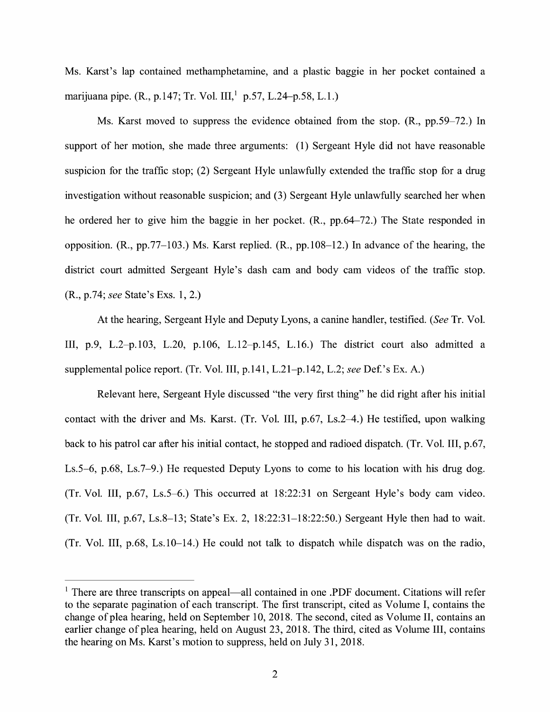Ms. Karst's lap contained methamphetamine, and a plastic baggie in her pocket contained a marijuana pipe. (R., p.147; Tr. Vol. III,<sup>1</sup> p.57, L.24–p.58, L.1.)

Ms. Karst moved to suppress the evidence obtained from the stop. (R., pp.59-72.) In support of her motion, she made three arguments: (1) Sergeant Hyle did not have reasonable suspicion for the traffic stop; (2) Sergeant Hyle unlawfully extended the traffic stop for a drug investigation without reasonable suspicion; and (3) Sergeant Hyle unlawfully searched her when he ordered her to give him the baggie in her pocket. (R., pp.64-72.) The State responded in opposition. (R., pp.77-103.) Ms. Karst replied. (R., pp.108-12.) In advance of the hearing, the district court admitted Sergeant Hyle's dash cam and body cam videos of the traffic stop. (R., p.74; *see* State's Exs. 1, 2.)

At the hearing, Sergeant Hyle and Deputy Lyons, a canine handler, testified. *(See* Tr. Vol. III, p.9, L.2-p.103, L.20, p.106, L.12-p.145, L.16.) The district court also admitted a supplemental police report. (Tr. Vol. III, p.141, L.21–p.142, L.2; *see* Def.'s Ex. A.)

Relevant here, Sergeant Hyle discussed "the very first thing" he did right after his initial contact with the driver and Ms. Karst. (Tr. Vol. III,  $p.67$ , Ls.2–4.) He testified, upon walking back to his patrol car after his initial contact, he stopped and radioed dispatch. (Tr. Vol. III, p.67, Ls.5-6, p.68, Ls.7-9.) He requested Deputy Lyons to come to his location with his drug dog. (Tr. Vol. III, p.67, Ls.5-6.) This occurred at 18:22:31 on Sergeant Hyle's body cam video. (Tr. Vol. III, p.67, Ls.8-13; State's Ex. 2, 18:22:31-18:22:50.) Sergeant Hyle then had to wait. (Tr. Vol. III, p.68, Ls.10-14.) He could not talk to dispatch while dispatch was on the radio,

 $<sup>1</sup>$  There are three transcripts on appeal—all contained in one .PDF document. Citations will refer</sup> to the separate pagination of each transcript. The first transcript, cited as Volume I, contains the change of plea hearing, held on September 10, 2018. The second, cited as Volume II, contains an earlier change of plea hearing, held on August 23, 2018. The third, cited as Volume III, contains the hearing on Ms. Karst's motion to suppress, held on July 31, 2018.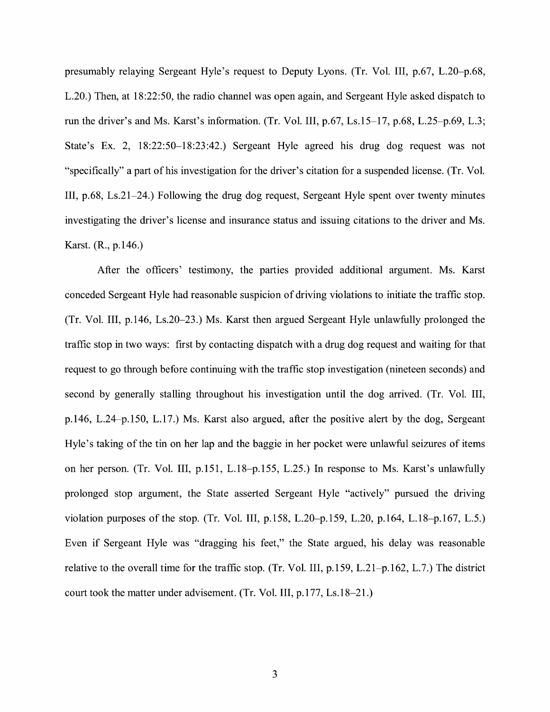presumably relaying Sergeant Hyle's request to Deputy Lyons. (Tr. Vol. III, p.67, L.20-p.68, L.20.) Then, at 18:22:50, the radio channel was open again, and Sergeant Hyle asked dispatch to run the driver's and Ms. Karst's information. (Tr. Vol. III, p.67, Ls.15-17, p.68, L.25-p.69, L.3; State's Ex. 2, 18:22:50-18:23:42.) Sergeant Hyle agreed his drug dog request was not "specifically" a part of his investigation for the driver's citation for a suspended license. (Tr. Vol. III, p.68, Ls.21-24.) Following the drug dog request, Sergeant Hyle spent over twenty minutes investigating the driver's license and insurance status and issuing citations to the driver and Ms. Karst. (R., p.146.)

After the officers' testimony, the parties provided additional argument. Ms. Karst conceded Sergeant Hyle had reasonable suspicion of driving violations to initiate the traffic stop. (Tr. Vol. III, p.146, Ls.20-23.) Ms. Karst then argued Sergeant Hyle unlawfully prolonged the traffic stop in two ways: first by contacting dispatch with a drug dog request and waiting for that request to go through before continuing with the traffic stop investigation ( nineteen seconds) and second by generally stalling throughout his investigation until the dog arrived. (Tr. Vol. III, p.146, L.24-p.150, L.17.) Ms. Karst also argued, after the positive alert by the dog, Sergeant Hyle's taking of the tin on her lap and the baggie in her pocket were unlawful seizures of items on her person. (Tr. Vol. III, p.151, L.18-p.155, L.25.) In response to Ms. Karst's unlawfully prolonged stop argument, the State asserted Sergeant Hyle "actively" pursued the driving violation purposes of the stop. (Tr. Vol. III, p.158, L.20-p.159, L.20, p.164, L.18-p.167, L.5.) Even if Sergeant Hyle was "dragging his feet," the State argued, his delay was reasonable relative to the overall time for the traffic stop. (Tr. Vol. III, p.159, L.21-p.162, L.7.) The district court took the matter under advisement. (Tr. Vol. III, p.177, Ls.18-21.)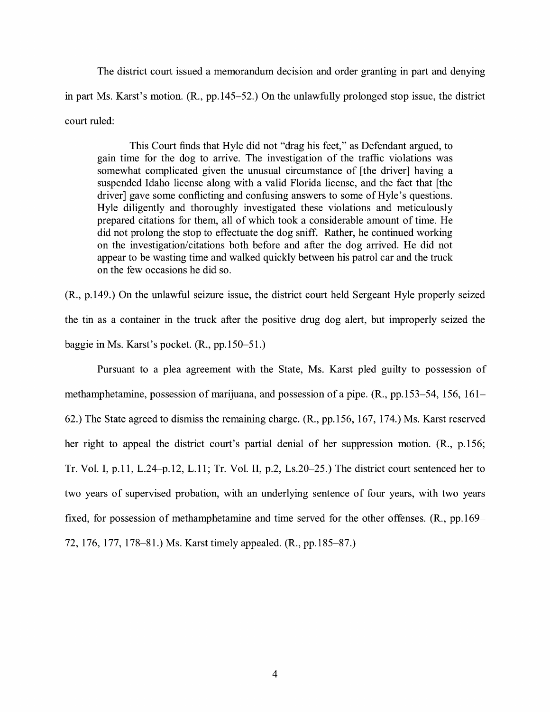The district court issued a memorandum decision and order granting in part and denying in part Ms. Karst's motion. (R., pp.145-52.) On the unlawfully prolonged stop issue, the district court ruled:

This Court finds that Hyle did not "drag his feet," as Defendant argued, to gain time for the dog to arrive. The investigation of the traffic violations was somewhat complicated given the unusual circumstance of [the driver] having a suspended Idaho license along with a valid Florida license, and the fact that [the driver] gave some conflicting and confusing answers to some of Hyle's questions. Hyle diligently and thoroughly investigated these violations and meticulously prepared citations for them, all of which took a considerable amount of time. He did not prolong the stop to effectuate the dog sniff. Rather, he continued working on the investigation/citations both before and after the dog arrived. He did not appear to be wasting time and walked quickly between his patrol car and the truck on the few occasions he did so.

(R., p.149.) On the unlawful seizure issue, the district court held Sergeant Hyle properly seized the tin as a container in the truck after the positive drug dog alert, but improperly seized the baggie in Ms. Karst's pocket. (R., pp.150-51.)

Pursuant to a plea agreement with the State, Ms. Karst pled guilty to possession of methamphetamine, possession of marijuana, and possession of a pipe. (R., pp.153-54, 156, 161- 62.) The State agreed to dismiss the remaining charge. (R., pp. 156, 167, 174.) Ms. Karst reserved her right to appeal the district court's partial denial of her suppression motion. (R., p.156; Tr. Vol. I, p.11, L.24-p.12, L.11; Tr. Vol. II, p.2, Ls.20-25.) The district court sentenced her to two years of supervised probation, with an underlying sentence of four years, with two years fixed, for possession of methamphetamine and time served for the other offenses. (R., pp.169– 72, 176, 177, 178-81.) Ms. Karst timely appealed. **(R.,** pp.185-87.)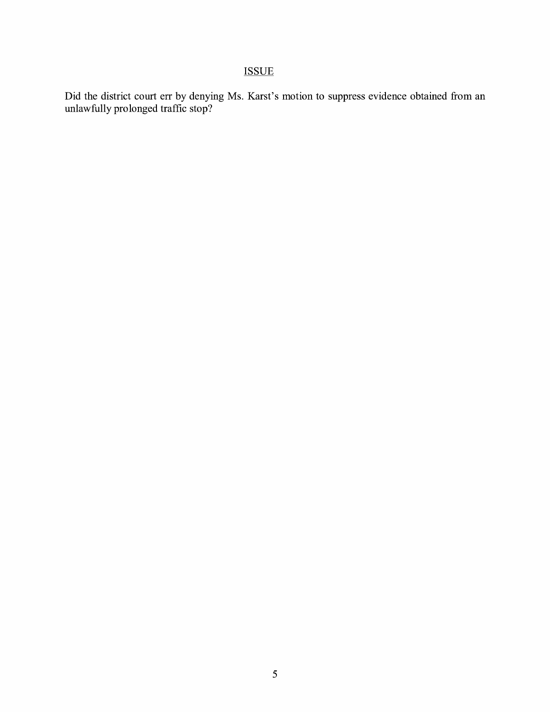# ISSUE

Did the district court err by denying Ms. Karst's motion to suppress evidence obtained from an unlawfully prolonged traffic stop?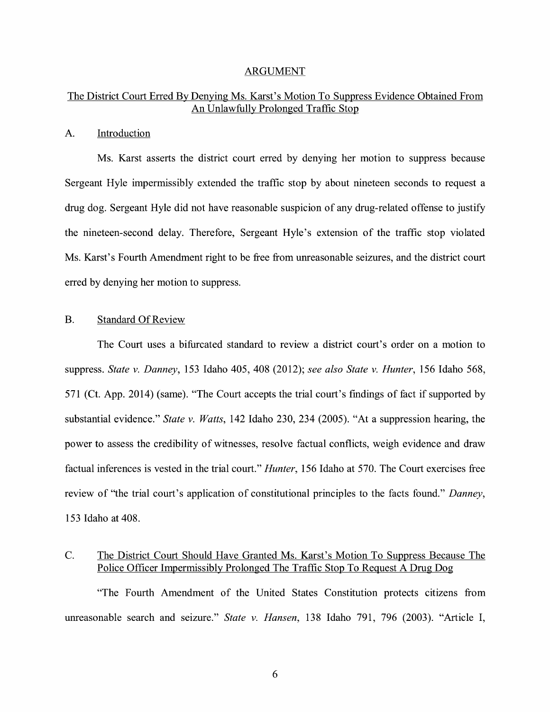#### ARGUMENT

### The District Court Erred By Denying Ms. Karst's Motion To Suppress Evidence Obtained From An Unlawfully Prolonged Traffic Stop

#### A. Introduction

Ms. Karst asserts the district court erred by denying her motion to suppress because Sergeant Hyle impermissibly extended the traffic stop by about nineteen seconds to request a drug dog. Sergeant Hyle did not have reasonable suspicion of any drug-related offense to justify the nineteen-second delay. Therefore, Sergeant Hyle's extension of the traffic stop violated Ms. Karst's Fourth Amendment right to be free from unreasonable seizures, and the district court erred by denying her motion to suppress.

#### B. Standard Of Review

The Court uses a bifurcated standard to review a district court's order on a motion to suppress. *State v. Danney,* 153 Idaho 405, 408 (2012); *see also State v. Hunter,* 156 Idaho 568, 571 (Ct. App. 2014) (same). "The Court accepts the trial court's findings of fact if supported by substantial evidence." *State v. Watts,* 142 Idaho 230, 234 (2005). "At a suppression hearing, the power to assess the credibility of witnesses, resolve factual conflicts, weigh evidence and draw factual inferences is vested in the trial court." *Hunter,* 156 Idaho at 570. The Court exercises free review of "the trial court's application of constitutional principles to the facts found." *Danney,*  153 Idaho at 408.

### C. The District Court Should Have Granted Ms. Karst's Motion To Suppress Because The Police Officer Impermissibly Prolonged The Traffic Stop To Request A Drug Dog

"The Fourth Amendment of the United States Constitution protects citizens from unreasonable search and seizure." *State v. Hansen,* 138 Idaho 791, 796 (2003). "Article I,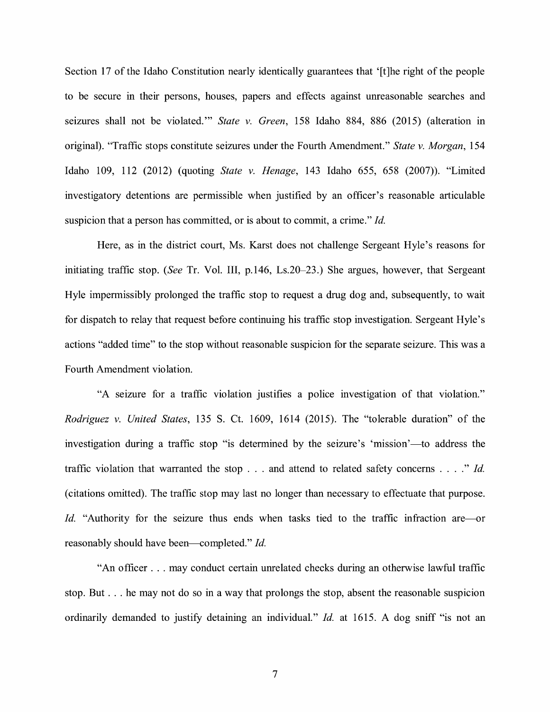Section 17 of the Idaho Constitution nearly identically guarantees that '[t]he right of the people to be secure in their persons, houses, papers and effects against unreasonable searches and seizures shall not be violated."' *State v. Green,* 158 Idaho 884, 886 (2015) (alteration in original). "Traffic stops constitute seizures under the Fourth Amendment." *State v. Morgan,* 154 Idaho 109, 112 (2012) (quoting *State v. Henage,* 143 Idaho 655, 658 (2007)). "Limited investigatory detentions are permissible when justified by an officer's reasonable articulable suspicion that a person has committed, or is about to commit, a crime." *Id.* 

Here, as in the district court, Ms. Karst does not challenge Sergeant Hyle's reasons for initiating traffic stop. *(See* Tr. Vol. III, p.146, Ls.20-23.) She argues, however, that Sergeant Hyle impermissibly prolonged the traffic stop to request a drug dog and, subsequently, to wait for dispatch to relay that request before continuing his traffic stop investigation. Sergeant Hyle's actions "added time" to the stop without reasonable suspicion for the separate seizure. This was a Fourth Amendment violation.

"A seizure for a traffic violation justifies a police investigation of that violation." *Rodriguez v. United States,* 135 S. Ct. 1609, 1614 (2015). The "tolerable duration" of the investigation during a traffic stop "is determined by the seizure's 'mission'—to address the traffic violation that warranted the stop ... and attend to related safety concerns .... " *Id.*  ( citations omitted). The traffic stop may last no longer than necessary to effectuate that purpose. *Id.* "Authority for the seizure thus ends when tasks tied to the traffic infraction are-or reasonably should have been-completed." *Id.* 

"An officer ... may conduct certain unrelated checks during an otherwise lawful traffic stop. But ... he may not do so in a way that prolongs the stop, absent the reasonable suspicion ordinarily demanded to justify detaining an individual." *Id.* at 1615. A dog sniff "is not an

7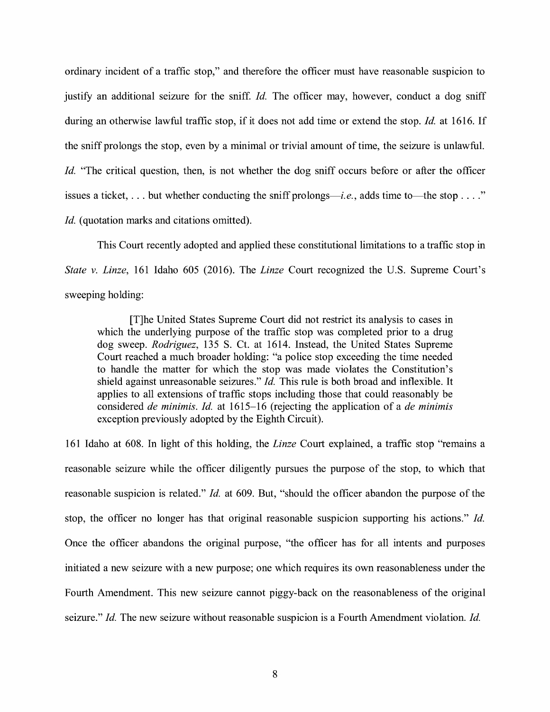ordinary incident of a traffic stop," and therefore the officer must have reasonable suspicion to justify an additional seizure for the sniff. *Id*. The officer may, however, conduct a dog sniff during an otherwise lawful traffic stop, if it does not add time or extend the stop. *Id.* at 1616. If the sniff prolongs the stop, even by a minimal or trivial amount of time, the seizure is unlawful. *Id.* "The critical question, then, is not whether the dog sniff occurs before or after the officer issues a ticket,  $\dots$  but whether conducting the sniff prolongs—*i.e.*, adds time to—the stop  $\dots$ ." *Id.* (quotation marks and citations omitted).

This Court recently adopted and applied these constitutional limitations to a traffic stop in *State v. Linze,* 161 Idaho 605 (2016). The *Linze* Court recognized the U.S. Supreme Court's sweeping holding:

[T]he United States Supreme Court did not restrict its analysis to cases in which the underlying purpose of the traffic stop was completed prior to a drug dog sweep. *Rodriguez,* 135 S. Ct. at 1614. Instead, the United States Supreme Court reached a much broader holding: "a police stop exceeding the time needed to handle the matter for which the stop was made violates the Constitution's shield against unreasonable seizures." *Id.* This rule is both broad and inflexible. It applies to all extensions of traffic stops including those that could reasonably be considered *de minimis. Id.* at 1615-16 (rejecting the application of a *de minimis*  exception previously adopted by the Eighth Circuit).

161 Idaho at 608. In light of this holding, the *Linze* Court explained, a traffic stop "remains a reasonable seizure while the officer diligently pursues the purpose of the stop, to which that reasonable suspicion is related." *Id.* at 609. But, "should the officer abandon the purpose of the stop, the officer no longer has that original reasonable suspicion supporting his actions." *Id.*  Once the officer abandons the original purpose, "the officer has for all intents and purposes initiated a new seizure with a new purpose; one which requires its own reasonableness under the Fourth Amendment. This new seizure cannot piggy-back on the reasonableness of the original seizure." *Id.* The new seizure without reasonable suspicion is a Fourth Amendment violation. *Id.*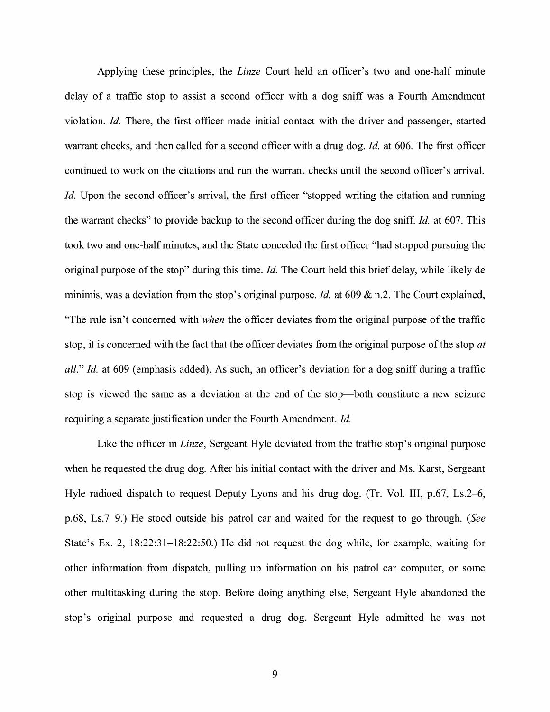Applying these principles, the *Linze* Court held an officer's two and one-half minute delay of a traffic stop to assist a second officer with a dog sniff was a Fourth Amendment violation. *Id.* There, the first officer made initial contact with the driver and passenger, started warrant checks, and then called for a second officer with a drug dog. *Id.* at 606. The first officer continued to work on the citations and run the warrant checks until the second officer's arrival. *Id.* Upon the second officer's arrival, the first officer "stopped writing the citation and running the warrant checks" to provide backup to the second officer during the dog sniff. *Id.* at 607. This took two and one-half minutes, and the State conceded the first officer "had stopped pursuing the original purpose of the stop" during this time. *Id.* The Court held this brief delay, while likely de minimis, was a deviation from the stop's original purpose. *Id.* at 609 & n.2. The Court explained, "The rule isn't concerned with *when* the officer deviates from the original purpose of the traffic stop, it is concerned with the fact that the officer deviates from the original purpose of the stop *at all." Id.* at 609 (emphasis added). As such, an officer's deviation for a dog sniff during a traffic stop is viewed the same as a deviation at the end of the stop-both constitute a new seizure requiring a separate justification under the Fourth Amendment. *Id.* 

Like the officer in *Linze,* Sergeant Hyle deviated from the traffic stop's original purpose when he requested the drug dog. After his initial contact with the driver and Ms. Karst, Sergeant Hyle radioed dispatch to request Deputy Lyons and his drug dog. (Tr. Vol. III, p.67, Ls.2–6, p.68, Ls.7-9.) He stood outside his patrol car and waited for the request to go through. *(See*  State's Ex. 2, 18:22:31-18:22:50.) He did not request the dog while, for example, waiting for other information from dispatch, pulling up information on his patrol car computer, or some other multitasking during the stop. Before doing anything else, Sergeant Hyle abandoned the stop's original purpose and requested a drug dog. Sergeant Hyle admitted he was not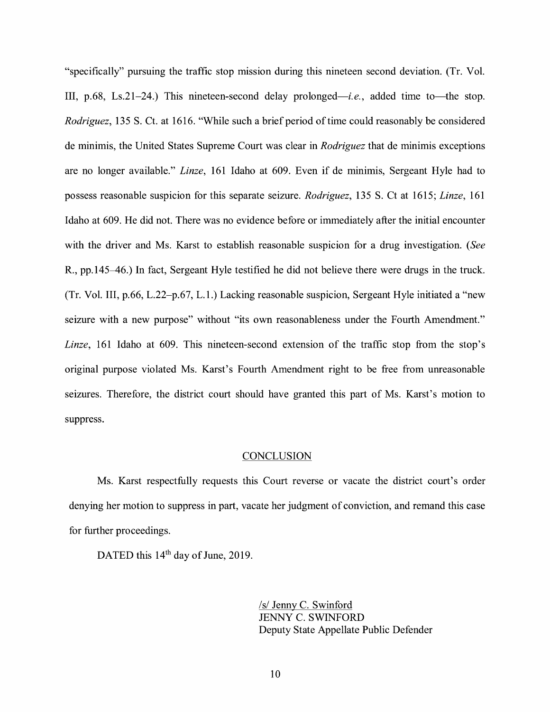"specifically" pursuing the traffic stop mission during this nineteen second deviation. (Tr. Vol. III, p.68, Ls.21-24.) This nineteen-second delay prolonged—*i.e.*, added time to—the stop. *Rodriguez,* 135 S. Ct. at 1616. "While such a brief period of time could reasonably be considered de minimis, the United States Supreme Court was clear in *Rodriguez* that de minimis exceptions are no longer available." *Linze,* 161 Idaho at 609. Even if de minimis, Sergeant Hyle had to possess reasonable suspicion for this separate seizure. *Rodriguez,* 135 S. Ct at 1615; *Linze,* 161 Idaho at 609. He did not. There was no evidence before or immediately after the initial encounter with the driver and Ms. Karst to establish reasonable suspicion for a drug investigation. *(See*  R., pp. 145–46.) In fact, Sergeant Hyle testified he did not believe there were drugs in the truck. (Tr. Vol. III, p.66, L.22-p.67, L.1.) Lacking reasonable suspicion, Sergeant Hyle initiated a "new seizure with a new purpose" without "its own reasonableness under the Fourth Amendment." *Linze,* 161 Idaho at 609. This nineteen-second extension of the traffic stop from the stop's original purpose violated Ms. Karst's Fourth Amendment right to be free from unreasonable seizures. Therefore, the district court should have granted this part of Ms. Karst's motion to suppress.

#### **CONCLUSION**

Ms. Karst respectfully requests this Court reverse or vacate the district court's order denying her motion to suppress in part, vacate her judgment of conviction, and remand this case for further proceedings.

DATED this  $14<sup>th</sup>$  day of June, 2019.

/s/ Jenny C. Swinford JENNY C. SWINFORD Deputy State Appellate Public Defender